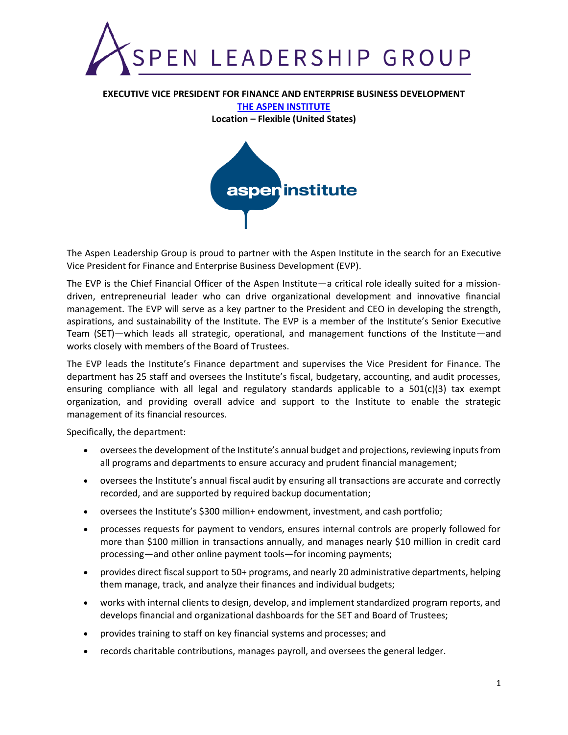

**EXECUTIVE VICE PRESIDENT FOR FINANCE AND ENTERPRISE BUSINESS DEVELOPMENT [THE ASPEN INSTITUTE](https://www.aspeninstitute.org/)**

**Location – Flexible (United States)**



The Aspen Leadership Group is proud to partner with the Aspen Institute in the search for an Executive Vice President for Finance and Enterprise Business Development (EVP).

The EVP is the Chief Financial Officer of the Aspen Institute—a critical role ideally suited for a missiondriven, entrepreneurial leader who can drive organizational development and innovative financial management. The EVP will serve as a key partner to the President and CEO in developing the strength, aspirations, and sustainability of the Institute. The EVP is a member of the Institute's Senior Executive Team (SET)—which leads all strategic, operational, and management functions of the Institute—and works closely with members of the Board of Trustees.

The EVP leads the Institute's Finance department and supervises the Vice President for Finance. The department has 25 staff and oversees the Institute's fiscal, budgetary, accounting, and audit processes, ensuring compliance with all legal and regulatory standards applicable to a  $501(c)(3)$  tax exempt organization, and providing overall advice and support to the Institute to enable the strategic management of its financial resources.

Specifically, the department:

- oversees the development of the Institute's annual budget and projections, reviewing inputs from all programs and departments to ensure accuracy and prudent financial management;
- oversees the Institute's annual fiscal audit by ensuring all transactions are accurate and correctly recorded, and are supported by required backup documentation;
- oversees the Institute's \$300 million+ endowment, investment, and cash portfolio;
- processes requests for payment to vendors, ensures internal controls are properly followed for more than \$100 million in transactions annually, and manages nearly \$10 million in credit card processing—and other online payment tools—for incoming payments;
- provides direct fiscal support to 50+ programs, and nearly 20 administrative departments, helping them manage, track, and analyze their finances and individual budgets;
- works with internal clients to design, develop, and implement standardized program reports, and develops financial and organizational dashboards for the SET and Board of Trustees;
- provides training to staff on key financial systems and processes; and
- records charitable contributions, manages payroll, and oversees the general ledger.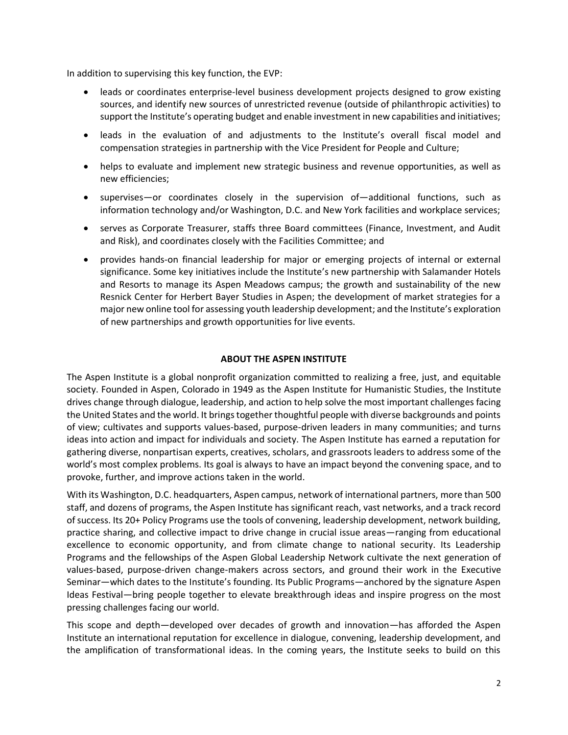In addition to supervising this key function, the EVP:

- leads or coordinates enterprise-level business development projects designed to grow existing sources, and identify new sources of unrestricted revenue (outside of philanthropic activities) to support the Institute's operating budget and enable investment in new capabilities and initiatives;
- leads in the evaluation of and adjustments to the Institute's overall fiscal model and compensation strategies in partnership with the Vice President for People and Culture;
- helps to evaluate and implement new strategic business and revenue opportunities, as well as new efficiencies;
- supervises—or coordinates closely in the supervision of—additional functions, such as information technology and/or Washington, D.C. and New York facilities and workplace services;
- serves as Corporate Treasurer, staffs three Board committees (Finance, Investment, and Audit and Risk), and coordinates closely with the Facilities Committee; and
- provides hands-on financial leadership for major or emerging projects of internal or external significance. Some key initiatives include the Institute's new partnership with Salamander Hotels and Resorts to manage its Aspen Meadows campus; the growth and sustainability of the new Resnick Center for Herbert Bayer Studies in Aspen; the development of market strategies for a major new online tool for assessing youth leadership development; and the Institute's exploration of new partnerships and growth opportunities for live events.

# **ABOUT THE ASPEN INSTITUTE**

The Aspen Institute is a global nonprofit organization committed to realizing a free, just, and equitable society. Founded in Aspen, Colorado in 1949 as the Aspen Institute for Humanistic Studies, the Institute drives change through dialogue, leadership, and action to help solve the most important challenges facing the United States and the world. It bringstogether thoughtful people with diverse backgrounds and points of view; cultivates and supports values-based, purpose-driven leaders in many communities; and turns ideas into action and impact for individuals and society. The Aspen Institute has earned a reputation for gathering diverse, nonpartisan experts, creatives, scholars, and grassroots leaders to address some of the world's most complex problems. Its goal is always to have an impact beyond the convening space, and to provoke, further, and improve actions taken in the world.

With its Washington, D.C. headquarters, Aspen campus, network of international partners, more than 500 staff, and dozens of programs, the Aspen Institute has significant reach, vast networks, and a track record of success. Its 20+ Policy Programs use the tools of convening, leadership development, network building, practice sharing, and collective impact to drive change in crucial issue areas—ranging from educational excellence to economic opportunity, and from climate change to national security. Its Leadership Programs and the fellowships of the Aspen Global Leadership Network cultivate the next generation of values-based, purpose-driven change-makers across sectors, and ground their work in the Executive Seminar—which dates to the Institute's founding. Its Public Programs—anchored by the signature Aspen Ideas Festival—bring people together to elevate breakthrough ideas and inspire progress on the most pressing challenges facing our world.

This scope and depth—developed over decades of growth and innovation—has afforded the Aspen Institute an international reputation for excellence in dialogue, convening, leadership development, and the amplification of transformational ideas. In the coming years, the Institute seeks to build on this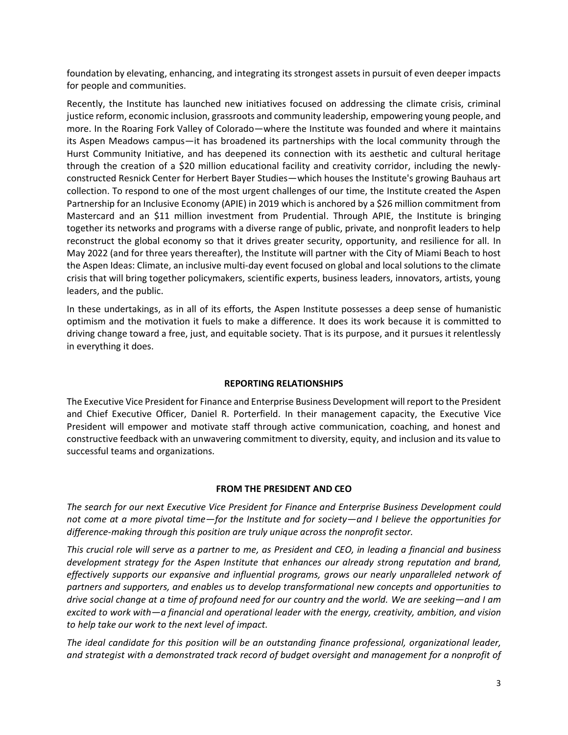foundation by elevating, enhancing, and integrating its strongest assets in pursuit of even deeper impacts for people and communities.

Recently, the Institute has launched new initiatives focused on addressing the climate crisis, criminal justice reform, economic inclusion, grassroots and community leadership, empowering young people, and more. In the Roaring Fork Valley of Colorado—where the Institute was founded and where it maintains its Aspen Meadows campus—it has broadened its partnerships with the local community through the Hurst Community Initiative, and has deepened its connection with its aesthetic and cultural heritage through the creation of a \$20 million educational facility and creativity corridor, including the newlyconstructed Resnick Center for Herbert Bayer Studies—which houses the Institute's growing Bauhaus art collection. To respond to one of the most urgent challenges of our time, the Institute created the Aspen Partnership for an Inclusive Economy (APIE) in 2019 which is anchored by a \$26 million commitment from Mastercard and an \$11 million investment from Prudential. Through APIE, the Institute is bringing together its networks and programs with a diverse range of public, private, and nonprofit leaders to help reconstruct the global economy so that it drives greater security, opportunity, and resilience for all. In May 2022 (and for three years thereafter), the Institute will partner with the City of Miami Beach to host the Aspen Ideas: Climate, an inclusive multi-day event focused on global and local solutions to the climate crisis that will bring together policymakers, scientific experts, business leaders, innovators, artists, young leaders, and the public.

In these undertakings, as in all of its efforts, the Aspen Institute possesses a deep sense of humanistic optimism and the motivation it fuels to make a difference. It does its work because it is committed to driving change toward a free, just, and equitable society. That is its purpose, and it pursues it relentlessly in everything it does.

# **REPORTING RELATIONSHIPS**

The Executive Vice President for Finance and Enterprise Business Development will report to the President and Chief Executive Officer, Daniel R. Porterfield. In their management capacity, the Executive Vice President will empower and motivate staff through active communication, coaching, and honest and constructive feedback with an unwavering commitment to diversity, equity, and inclusion and its value to successful teams and organizations.

# **FROM THE PRESIDENT AND CEO**

*The search for our next Executive Vice President for Finance and Enterprise Business Development could not come at a more pivotal time—for the Institute and for society—and I believe the opportunities for difference-making through this position are truly unique across the nonprofit sector.*

*This crucial role will serve as a partner to me, as President and CEO, in leading a financial and business development strategy for the Aspen Institute that enhances our already strong reputation and brand, effectively supports our expansive and influential programs, grows our nearly unparalleled network of partners and supporters, and enables us to develop transformational new concepts and opportunities to drive social change at a time of profound need for our country and the world. We are seeking—and I am excited to work with—a financial and operational leader with the energy, creativity, ambition, and vision to help take our work to the next level of impact.*

*The ideal candidate for this position will be an outstanding finance professional, organizational leader, and strategist with a demonstrated track record of budget oversight and management for a nonprofit of*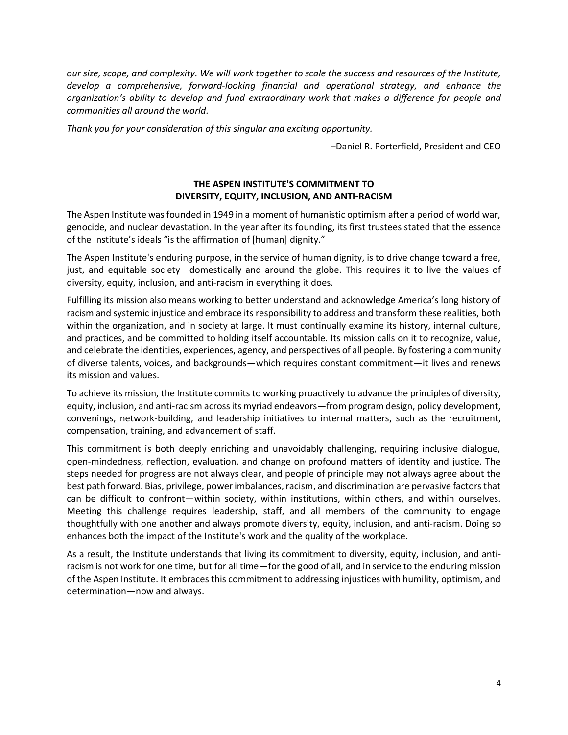*our size, scope, and complexity. We will work together to scale the success and resources of the Institute, develop a comprehensive, forward-looking financial and operational strategy, and enhance the organization's ability to develop and fund extraordinary work that makes a difference for people and communities all around the world.*

*Thank you for your consideration of this singular and exciting opportunity.*

–Daniel R. Porterfield, President and CEO

# **THE ASPEN INSTITUTE'S COMMITMENT TO DIVERSITY, EQUITY, INCLUSION, AND ANTI-RACISM**

The Aspen Institute was founded in 1949 in a moment of humanistic optimism after a period of world war, genocide, and nuclear devastation. In the year after its founding, its first trustees stated that the essence of the Institute's ideals "is the affirmation of [human] dignity."

The Aspen Institute's enduring purpose, in the service of human dignity, is to drive change toward a free, just, and equitable society—domestically and around the globe. This requires it to live the values of diversity, equity, inclusion, and anti-racism in everything it does.

Fulfilling its mission also means working to better understand and acknowledge America's long history of racism and systemic injustice and embrace its responsibility to address and transform these realities, both within the organization, and in society at large. It must continually examine its history, internal culture, and practices, and be committed to holding itself accountable. Its mission calls on it to recognize, value, and celebrate the identities, experiences, agency, and perspectives of all people. By fostering a community of diverse talents, voices, and backgrounds—which requires constant commitment—it lives and renews its mission and values.

To achieve its mission, the Institute commits to working proactively to advance the principles of diversity, equity, inclusion, and anti-racism across its myriad endeavors—from program design, policy development, convenings, network-building, and leadership initiatives to internal matters, such as the recruitment, compensation, training, and advancement of staff.

This commitment is both deeply enriching and unavoidably challenging, requiring inclusive dialogue, open-mindedness, reflection, evaluation, and change on profound matters of identity and justice. The steps needed for progress are not always clear, and people of principle may not always agree about the best path forward. Bias, privilege, power imbalances, racism, and discrimination are pervasive factors that can be difficult to confront—within society, within institutions, within others, and within ourselves. Meeting this challenge requires leadership, staff, and all members of the community to engage thoughtfully with one another and always promote diversity, equity, inclusion, and anti-racism. Doing so enhances both the impact of the Institute's work and the quality of the workplace.

As a result, the Institute understands that living its commitment to diversity, equity, inclusion, and antiracism is not work for one time, but for all time—for the good of all, and in service to the enduring mission of the Aspen Institute. It embraces this commitment to addressing injustices with humility, optimism, and determination—now and always.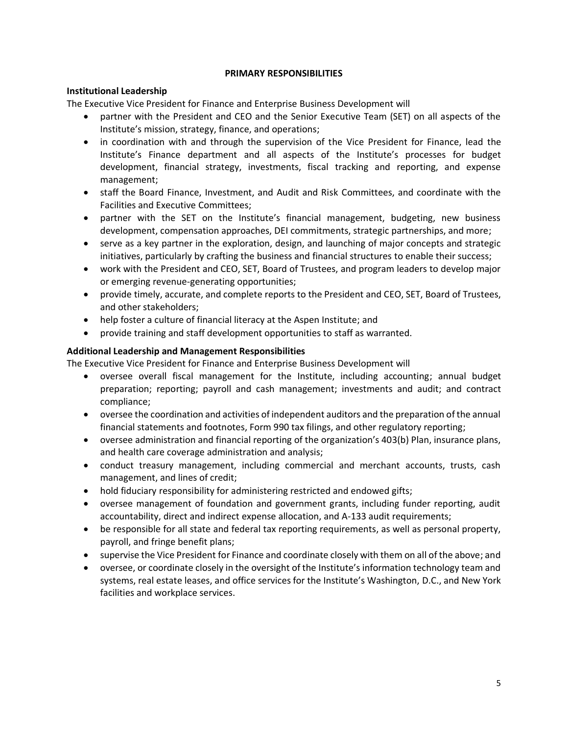# **PRIMARY RESPONSIBILITIES**

### **Institutional Leadership**

The Executive Vice President for Finance and Enterprise Business Development will

- partner with the President and CEO and the Senior Executive Team (SET) on all aspects of the Institute's mission, strategy, finance, and operations;
- in coordination with and through the supervision of the Vice President for Finance, lead the Institute's Finance department and all aspects of the Institute's processes for budget development, financial strategy, investments, fiscal tracking and reporting, and expense management;
- staff the Board Finance, Investment, and Audit and Risk Committees, and coordinate with the Facilities and Executive Committees;
- partner with the SET on the Institute's financial management, budgeting, new business development, compensation approaches, DEI commitments, strategic partnerships, and more;
- serve as a key partner in the exploration, design, and launching of major concepts and strategic initiatives, particularly by crafting the business and financial structures to enable their success;
- work with the President and CEO, SET, Board of Trustees, and program leaders to develop major or emerging revenue-generating opportunities;
- provide timely, accurate, and complete reports to the President and CEO, SET, Board of Trustees, and other stakeholders;
- help foster a culture of financial literacy at the Aspen Institute; and
- provide training and staff development opportunities to staff as warranted.

# **Additional Leadership and Management Responsibilities**

The Executive Vice President for Finance and Enterprise Business Development will

- oversee overall fiscal management for the Institute, including accounting; annual budget preparation; reporting; payroll and cash management; investments and audit; and contract compliance;
- oversee the coordination and activities of independent auditors and the preparation of the annual financial statements and footnotes, Form 990 tax filings, and other regulatory reporting;
- oversee administration and financial reporting of the organization's 403(b) Plan, insurance plans, and health care coverage administration and analysis;
- conduct treasury management, including commercial and merchant accounts, trusts, cash management, and lines of credit;
- hold fiduciary responsibility for administering restricted and endowed gifts;
- oversee management of foundation and government grants, including funder reporting, audit accountability, direct and indirect expense allocation, and A-133 audit requirements;
- be responsible for all state and federal tax reporting requirements, as well as personal property, payroll, and fringe benefit plans;
- supervise the Vice President for Finance and coordinate closely with them on all of the above; and
- oversee, or coordinate closely in the oversight of the Institute's information technology team and systems, real estate leases, and office services for the Institute's Washington, D.C., and New York facilities and workplace services.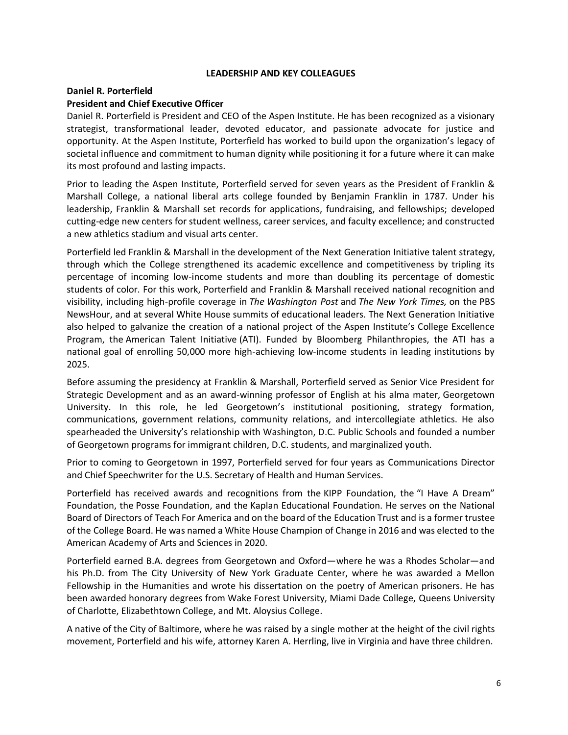### **LEADERSHIP AND KEY COLLEAGUES**

### **Daniel R. Porterfield**

### **President and Chief Executive Officer**

Daniel R. Porterfield is President and CEO of the Aspen Institute. He has been recognized as a visionary strategist, transformational leader, devoted educator, and passionate advocate for justice and opportunity. At the Aspen Institute, Porterfield has worked to build upon the organization's legacy of societal influence and commitment to human dignity while positioning it for a future where it can make its most profound and lasting impacts.

Prior to leading the Aspen Institute, Porterfield served for seven years as the President of Franklin & Marshall College, a national liberal arts college founded by Benjamin Franklin in 1787. Under his leadership, Franklin & Marshall set records for applications, fundraising, and fellowships; developed cutting-edge new centers for student wellness, career services, and faculty excellence; and constructed a new athletics stadium and visual arts center.

Porterfield led Franklin & Marshall in the development of the Next Generation Initiative talent strategy, through which the College strengthened its academic excellence and competitiveness by tripling its percentage of incoming low-income students and more than doubling its percentage of domestic students of color. For this work, Porterfield and Franklin & Marshall received national recognition and visibility, including high-profile coverage in *The Washington Post* and *The New York Times,* on the PBS NewsHour, and at several White House summits of educational leaders. The Next Generation Initiative also helped to galvanize the creation of a national project of the Aspen Institute's College Excellence Program, the American Talent Initiative (ATI). Funded by Bloomberg Philanthropies, the ATI has a national goal of enrolling 50,000 more high-achieving low-income students in leading institutions by 2025.

Before assuming the presidency at Franklin & Marshall, Porterfield served as Senior Vice President for Strategic Development and as an award-winning professor of English at his alma mater, Georgetown University. In this role, he led Georgetown's institutional positioning, strategy formation, communications, government relations, community relations, and intercollegiate athletics. He also spearheaded the University's relationship with Washington, D.C. Public Schools and founded a number of Georgetown programs for immigrant children, D.C. students, and marginalized youth.

Prior to coming to Georgetown in 1997, Porterfield served for four years as Communications Director and Chief Speechwriter for the U.S. Secretary of Health and Human Services.

Porterfield has received awards and recognitions from the KIPP Foundation, the "I Have A Dream" Foundation, the Posse Foundation, and the Kaplan Educational Foundation. He serves on the National Board of Directors of Teach For America and on the board of the Education Trust and is a former trustee of the College Board. He was named a White House Champion of Change in 2016 and was elected to the American Academy of Arts and Sciences in 2020.

Porterfield earned B.A. degrees from Georgetown and Oxford—where he was a Rhodes Scholar—and his Ph.D. from The City University of New York Graduate Center, where he was awarded a Mellon Fellowship in the Humanities and wrote his dissertation on the poetry of American prisoners. He has been awarded honorary degrees from Wake Forest University, Miami Dade College, Queens University of Charlotte, Elizabethtown College, and Mt. Aloysius College.

A native of the City of Baltimore, where he was raised by a single mother at the height of the civil rights movement, Porterfield and his wife, attorney Karen A. Herrling, live in Virginia and have three children.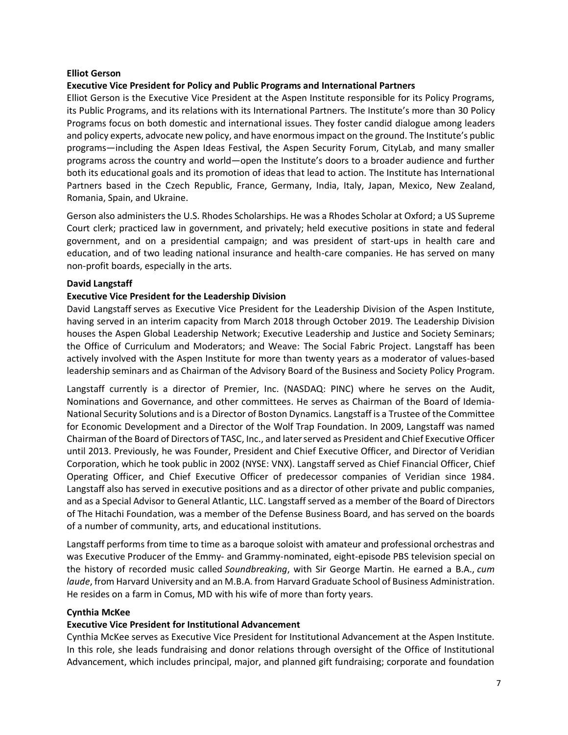### **Elliot Gerson**

### **Executive Vice President for Policy and Public Programs and International Partners**

Elliot Gerson is the Executive Vice President at the Aspen Institute responsible for its Policy Programs, its Public Programs, and its relations with its International Partners. The Institute's more than 30 Policy Programs focus on both domestic and international issues. They foster candid dialogue among leaders and policy experts, advocate new policy, and have enormous impact on the ground. The Institute's public programs—including the Aspen Ideas Festival, the Aspen Security Forum, CityLab, and many smaller programs across the country and world—open the Institute's doors to a broader audience and further both its educational goals and its promotion of ideas that lead to action. The Institute has International Partners based in the Czech Republic, France, Germany, India, Italy, Japan, Mexico, New Zealand, Romania, Spain, and Ukraine.

Gerson also administers the U.S. Rhodes Scholarships. He was a Rhodes Scholar at Oxford; a US Supreme Court clerk; practiced law in government, and privately; held executive positions in state and federal government, and on a presidential campaign; and was president of start-ups in health care and education, and of two leading national insurance and health-care companies. He has served on many non-profit boards, especially in the arts.

### **David Langstaff**

### **Executive Vice President for the Leadership Division**

David Langstaff serves as Executive Vice President for the Leadership Division of the Aspen Institute, having served in an interim capacity from March 2018 through October 2019. The Leadership Division houses the Aspen Global Leadership Network; Executive Leadership and Justice and Society Seminars; the Office of Curriculum and Moderators; and Weave: The Social Fabric Project. Langstaff has been actively involved with the Aspen Institute for more than twenty years as a moderator of values-based leadership seminars and as Chairman of the Advisory Board of the Business and Society Policy Program.

Langstaff currently is a director of Premier, Inc. (NASDAQ: PINC) where he serves on the Audit, Nominations and Governance, and other committees. He serves as Chairman of the Board of Idemia-National Security Solutions and is a Director of Boston Dynamics. Langstaff is a Trustee of the Committee for Economic Development and a Director of the Wolf Trap Foundation. In 2009, Langstaff was named Chairman of the Board of Directors of TASC, Inc., and later served as President and Chief Executive Officer until 2013. Previously, he was Founder, President and Chief Executive Officer, and Director of Veridian Corporation, which he took public in 2002 (NYSE: VNX). Langstaff served as Chief Financial Officer, Chief Operating Officer, and Chief Executive Officer of predecessor companies of Veridian since 1984. Langstaff also has served in executive positions and as a director of other private and public companies, and as a Special Advisor to General Atlantic, LLC. Langstaff served as a member of the Board of Directors of The Hitachi Foundation, was a member of the Defense Business Board, and has served on the boards of a number of community, arts, and educational institutions.

Langstaff performs from time to time as a baroque soloist with amateur and professional orchestras and was Executive Producer of the Emmy- and Grammy-nominated, eight-episode PBS television special on the history of recorded music called *Soundbreaking*, with Sir George Martin. He earned a B.A., *cum laude*, from Harvard University and an M.B.A. from Harvard Graduate School of Business Administration. He resides on a farm in Comus, MD with his wife of more than forty years.

#### **Cynthia McKee**

#### **Executive Vice President for Institutional Advancement**

Cynthia McKee serves as Executive Vice President for Institutional Advancement at the Aspen Institute. In this role, she leads fundraising and donor relations through oversight of the Office of Institutional Advancement, which includes principal, major, and planned gift fundraising; corporate and foundation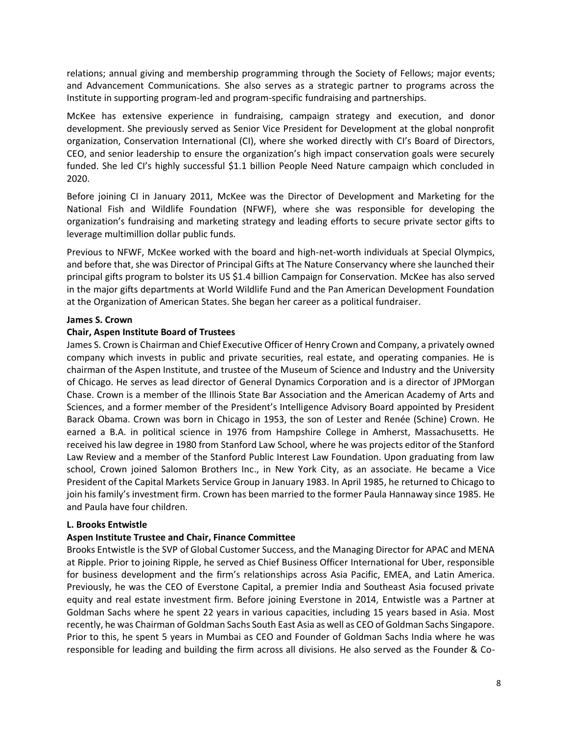relations; annual giving and membership programming through the Society of Fellows; major events; and Advancement Communications. She also serves as a strategic partner to programs across the Institute in supporting program-led and program-specific fundraising and partnerships.

McKee has extensive experience in fundraising, campaign strategy and execution, and donor development. She previously served as Senior Vice President for Development at the global nonprofit organization, Conservation International (CI), where she worked directly with CI's Board of Directors, CEO, and senior leadership to ensure the organization's high impact conservation goals were securely funded. She led CI's highly successful \$1.1 billion People Need Nature campaign which concluded in 2020.

Before joining CI in January 2011, McKee was the Director of Development and Marketing for the National Fish and Wildlife Foundation (NFWF), where she was responsible for developing the organization's fundraising and marketing strategy and leading efforts to secure private sector gifts to leverage multimillion dollar public funds.

Previous to NFWF, McKee worked with the board and high-net-worth individuals at Special Olympics, and before that, she was Director of Principal Gifts at The Nature Conservancy where she launched their principal gifts program to bolster its US \$1.4 billion Campaign for Conservation. McKee has also served in the major gifts departments at World Wildlife Fund and the Pan American Development Foundation at the Organization of American States. She began her career as a political fundraiser.

# **James S. Crown**

#### **Chair, Aspen Institute Board of Trustees**

James S. Crown is Chairman and Chief Executive Officer of Henry Crown and Company, a privately owned company which invests in public and private securities, real estate, and operating companies. He is chairman of the Aspen Institute, and trustee of the Museum of Science and Industry and the University of Chicago. He serves as lead director of General Dynamics Corporation and is a director of JPMorgan Chase. Crown is a member of the Illinois State Bar Association and the American Academy of Arts and Sciences, and a former member of the President's Intelligence Advisory Board appointed by President Barack Obama. Crown was born in Chicago in 1953, the son of Lester and Renée (Schine) Crown. He earned a B.A. in political science in 1976 from Hampshire College in Amherst, Massachusetts. He received his law degree in 1980 from Stanford Law School, where he was projects editor of the Stanford Law Review and a member of the Stanford Public Interest Law Foundation. Upon graduating from law school, Crown joined Salomon Brothers Inc., in New York City, as an associate. He became a Vice President of the Capital Markets Service Group in January 1983. In April 1985, he returned to Chicago to join his family's investment firm. Crown has been married to the former Paula Hannaway since 1985. He and Paula have four children.

#### **L. Brooks Entwistle**

#### **Aspen Institute Trustee and Chair, Finance Committee**

Brooks Entwistle is the SVP of Global Customer Success, and the Managing Director for APAC and MENA at Ripple. Prior to joining Ripple, he served as Chief Business Officer International for Uber, responsible for business development and the firm's relationships across Asia Pacific, EMEA, and Latin America. Previously, he was the CEO of Everstone Capital, a premier India and Southeast Asia focused private equity and real estate investment firm. Before joining Everstone in 2014, Entwistle was a Partner at Goldman Sachs where he spent 22 years in various capacities, including 15 years based in Asia. Most recently, he was Chairman of Goldman Sachs South East Asia as well as CEO of Goldman Sachs Singapore. Prior to this, he spent 5 years in Mumbai as CEO and Founder of Goldman Sachs India where he was responsible for leading and building the firm across all divisions. He also served as the Founder & Co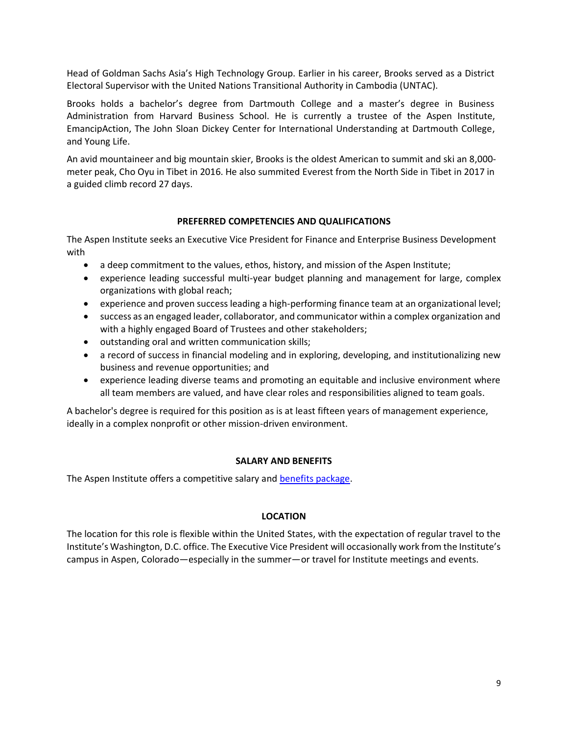Head of Goldman Sachs Asia's High Technology Group. Earlier in his career, Brooks served as a District Electoral Supervisor with the United Nations Transitional Authority in Cambodia (UNTAC).

Brooks holds a bachelor's degree from Dartmouth College and a master's degree in Business Administration from Harvard Business School. He is currently a trustee of the Aspen Institute, EmancipAction, The John Sloan Dickey Center for International Understanding at Dartmouth College, and Young Life.

An avid mountaineer and big mountain skier, Brooks is the oldest American to summit and ski an 8,000 meter peak, Cho Oyu in Tibet in 2016. He also summited Everest from the North Side in Tibet in 2017 in a guided climb record 27 days.

# **PREFERRED COMPETENCIES AND QUALIFICATIONS**

The Aspen Institute seeks an Executive Vice President for Finance and Enterprise Business Development with

- a deep commitment to the values, ethos, history, and mission of the Aspen Institute;
- experience leading successful multi-year budget planning and management for large, complex organizations with global reach;
- experience and proven success leading a high-performing finance team at an organizational level;
- success as an engaged leader, collaborator, and communicator within a complex organization and with a highly engaged Board of Trustees and other stakeholders;
- outstanding oral and written communication skills;
- a record of success in financial modeling and in exploring, developing, and institutionalizing new business and revenue opportunities; and
- experience leading diverse teams and promoting an equitable and inclusive environment where all team members are valued, and have clear roles and responsibilities aligned to team goals.

A bachelor's degree is required for this position as is at least fifteen years of management experience, ideally in a complex nonprofit or other mission-driven environment.

# **SALARY AND BENEFITS**

The Aspen Institute offers a competitive salary an[d benefits package.](https://www.aspeninstitute.org/careers/our-benefits/)

# **LOCATION**

The location for this role is flexible within the United States, with the expectation of regular travel to the Institute's Washington, D.C. office. The Executive Vice President will occasionally work from the Institute's campus in Aspen, Colorado—especially in the summer—or travel for Institute meetings and events.